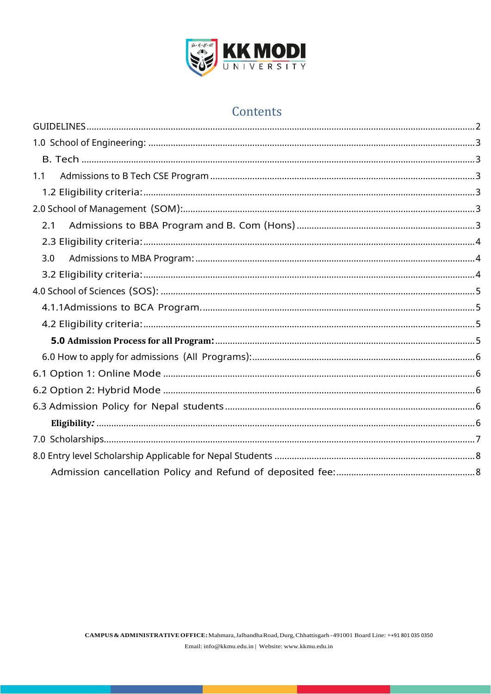

# Contents

| 1.1 |  |
|-----|--|
|     |  |
|     |  |
| 2.1 |  |
|     |  |
| 3.0 |  |
|     |  |
|     |  |
|     |  |
|     |  |
|     |  |
|     |  |
|     |  |
|     |  |
|     |  |
|     |  |
|     |  |
|     |  |
|     |  |
|     |  |

Email: info@kkmu.edu.in | Website: www.kkmu.edu.in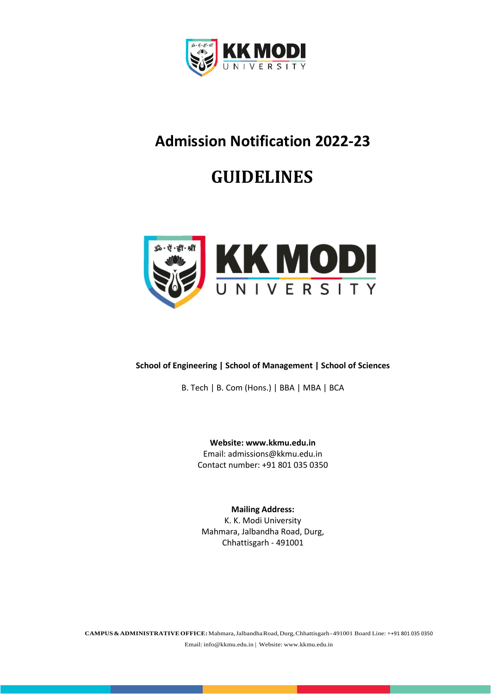

# **Admission Notification 2022-23**

# **GUIDELINES**

<span id="page-1-0"></span>

## **School of Engineering | School of Management | School of Sciences**

B. Tech | B. Com (Hons.) | BBA | MBA | BCA

**Website: www.kkmu.edu.in** Email: admissions@kkmu.edu.in Contact number: +91 801 035 0350

#### **Mailing Address:**

K. K. Modi University Mahmara, Jalbandha Road, Durg, Chhattisgarh - 491001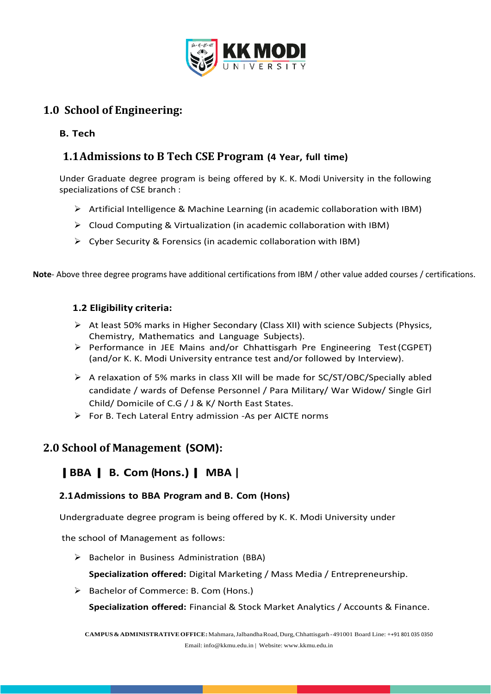

## <span id="page-2-1"></span><span id="page-2-0"></span>**1.0 School of Engineering:**

#### <span id="page-2-2"></span>**B. Tech**

## **1.1Admissions to B Tech CSE Program (4 Year, full time)**

Under Graduate degree program is being offered by K. K. Modi University in the following specializations of CSE branch :

- ➢ Artificial Intelligence & Machine Learning (in academic collaboration with IBM)
- ➢ Cloud Computing & Virtualization (in academic collaboration with IBM)
- ➢ Cyber Security & Forensics (in academic collaboration with IBM)

<span id="page-2-3"></span>**Note**- Above three degree programs have additional certifications from IBM / other value added courses / certifications.

#### **1.2 Eligibility criteria:**

- ➢ At least 50% marks in Higher Secondary (Class XII) with science Subjects (Physics, Chemistry, Mathematics and Language Subjects).
- ➢ Performance in JEE Mains and/or Chhattisgarh Pre Engineering Test(CGPET) (and/or K. K. Modi University entrance test and/or followed by Interview).
- ➢ A relaxation of 5% marks in class XII will be made for SC/ST/OBC/Specially abled candidate / wards of Defense Personnel / Para Military/ War Widow/ Single Girl Child/ Domicile of C.G / J & K/ North East States.
- ➢ For B. Tech Lateral Entry admission -As per AICTE norms

## <span id="page-2-4"></span>**2.0 School of Management (SOM):**

# **|BBA | B. Com (Hons.)| MBA <sup>|</sup>**

#### <span id="page-2-5"></span>**2.1Admissions to BBA Program and B. Com (Hons)**

Undergraduate degree program is being offered by K. K. Modi University under

the school of Management as follows:

➢ Bachelor in Business Administration (BBA)

**Specialization offered:** Digital Marketing / Mass Media / Entrepreneurship.

➢ Bachelor of Commerce: B. Com (Hons.)

**Specialization offered:** Financial & Stock Market Analytics / Accounts & Finance.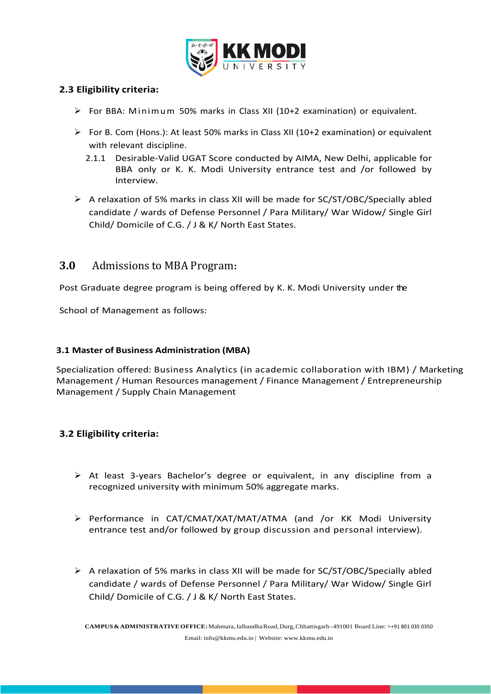

#### <span id="page-3-0"></span>**2.3 Eligibility criteria:**

- $\triangleright$  For BBA: Minimum 50% marks in Class XII (10+2 examination) or equivalent.
- ➢ For B. Com (Hons.): At least 50% marks in Class XII (10+2 examination) or equivalent with relevant discipline.
	- 2.1.1 Desirable-Valid UGAT Score conducted by AIMA, New Delhi, applicable for BBA only or K. K. Modi University entrance test and /or followed by Interview.
- ➢ A relaxation of 5% marks in class XII will be made for SC/ST/OBC/Specially abled candidate / wards of Defense Personnel / Para Military/ War Widow/ Single Girl Child/ Domicile of C.G. / J & K/ North East States.

## <span id="page-3-1"></span>**3.0** Admissions to MBA Program**:**

Post Graduate degree program is being offered by K. K. Modi University under the

School of Management as follows:

#### **3.1 Master of Business Administration (MBA)**

Specialization offered: Business Analytics (in academic collaboration with IBM) / Marketing Management / Human Resources management / Finance Management / Entrepreneurship Management / Supply Chain Management

#### <span id="page-3-2"></span>**3.2 Eligibility criteria:**

- ➢ At least 3-years Bachelor's degree or equivalent, in any discipline from a recognized university with minimum 50% aggregate marks.
- ➢ Performance in CAT/CMAT/XAT/MAT/ATMA (and /or KK Modi University entrance test and/or followed by group discussion and personal interview).
- ➢ A relaxation of 5% marks in class XII will be made for SC/ST/OBC/Specially abled candidate / wards of Defense Personnel / Para Military/ War Widow/ Single Girl Child/ Domicile of C.G. / J & K/ North East States.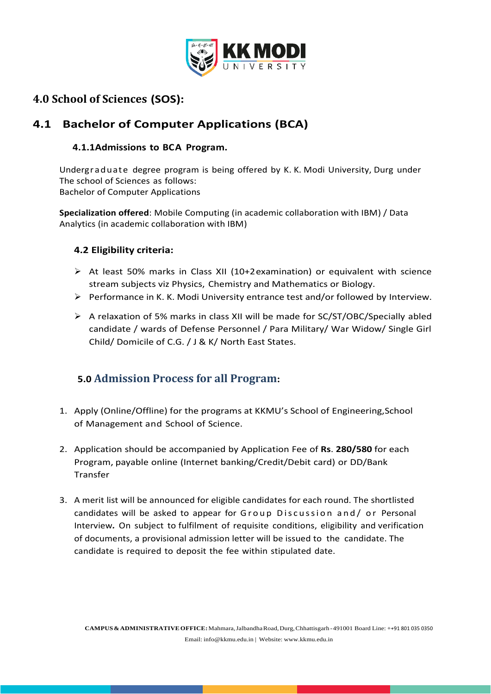

# <span id="page-4-0"></span>**4.0 School of Sciences (SOS):**

# **4.1 Bachelor of Computer Applications (BCA)**

### <span id="page-4-1"></span>**4.1.1Admissions to BCA Program.**

Undergraduate degree program is being offered by K. K. Modi University, Durg under The school of Sciences as follows: Bachelor of Computer Applications

**Specialization offered**: Mobile Computing (in academic collaboration with IBM) / Data Analytics (in academic collaboration with IBM)

### <span id="page-4-2"></span>**4.2 Eligibility criteria:**

- ➢ At least 50% marks in Class XII (10+2examination) or equivalent with science stream subjects viz Physics, Chemistry and Mathematics or Biology.
- $\triangleright$  Performance in K. K. Modi University entrance test and/or followed by Interview.
- ➢ A relaxation of 5% marks in class XII will be made for SC/ST/OBC/Specially abled candidate / wards of Defense Personnel / Para Military/ War Widow/ Single Girl Child/ Domicile of C.G. / J & K/ North East States.

## <span id="page-4-3"></span>**5.0 Admission Process for all Program:**

- 1. Apply (Online/Offline) for the programs at KKMU's School of Engineering,School of Management and School of Science.
- 2. Application should be accompanied by Application Fee of **Rs**. **280/580** for each Program, payable online (Internet banking/Credit/Debit card) or DD/Bank Transfer
- 3. A merit list will be announced for eligible candidates for each round. The shortlisted candidates will be asked to appear for Group Discussion and/ or Personal Interview*.* On subject to fulfilment of requisite conditions, eligibility and verification of documents, a provisional admission letter will be issued to the candidate. The candidate is required to deposit the fee within stipulated date.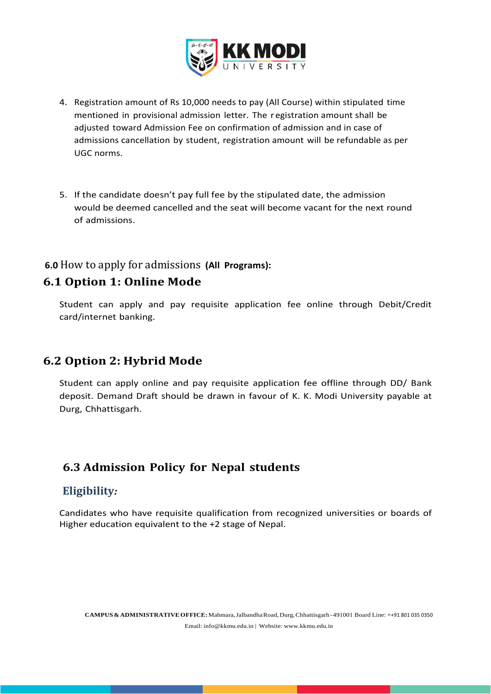

- 4. Registration amount of Rs 10,000 needs to pay (All Course) within stipulated time mentioned in provisional admission letter. The registration amount shall be adjusted toward Admission Fee on confirmation of admission and in case of admissions cancellation by student, registration amount will be refundable as per UGC norms.
- 5. If the candidate doesn't pay full fee by the stipulated date, the admission would be deemed cancelled and the seat will become vacant for the next round of admissions.

## <span id="page-5-0"></span> **6.0** How to apply for admissions **(All Programs):**

## <span id="page-5-1"></span>**6.1 Option 1: Online Mode**

Student can apply and pay requisite application fee online through Debit/Credit card/internet banking.

## <span id="page-5-2"></span>**6.2 Option 2: Hybrid Mode**

Student can apply online and pay requisite application fee offline through DD/ Bank deposit. Demand Draft should be drawn in favour of K. K. Modi University payable at Durg, Chhattisgarh.

# <span id="page-5-3"></span> **6.3 Admission Policy for Nepal students**

## <span id="page-5-4"></span>**Eligibility***:*

Candidates who have requisite qualification from recognized universities or boards of Higher education equivalent to the +2 stage of Nepal.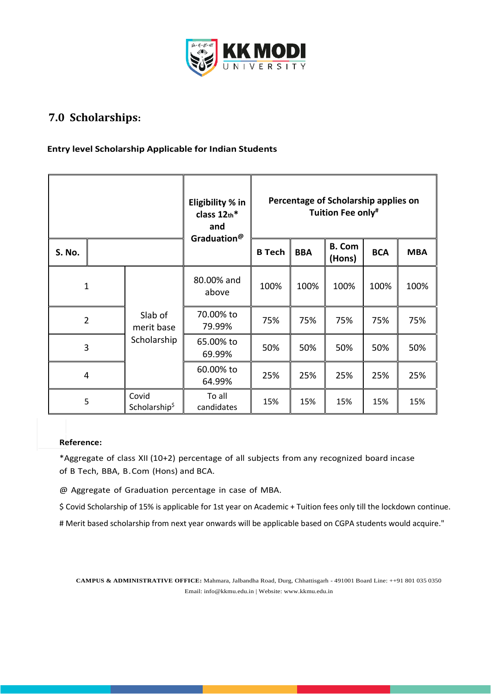

# <span id="page-6-0"></span> **7.0 Scholarships:**

#### **Entry level Scholarship Applicable for Indian Students**

|               |                                                                 |             | Eligibility % in<br>class 12th*<br>and | Percentage of Scholarship applies on<br>Tuition Fee only# |            |                         |            |            |
|---------------|-----------------------------------------------------------------|-------------|----------------------------------------|-----------------------------------------------------------|------------|-------------------------|------------|------------|
| <b>S. No.</b> |                                                                 |             | Graduation <sup>@</sup>                | <b>B</b> Tech                                             | <b>BBA</b> | <b>B. Com</b><br>(Hons) | <b>BCA</b> | <b>MBA</b> |
| $\mathbf 1$   |                                                                 |             | 80.00% and<br>above                    | 100%                                                      | 100%       | 100%                    | 100%       | 100%       |
|               | Slab of<br>$\overline{2}$<br>merit base                         |             | 70.00% to<br>79.99%                    | 75%                                                       | 75%        | 75%                     | 75%        | 75%        |
| 3             |                                                                 | Scholarship | 65.00% to<br>69.99%                    | 50%                                                       | 50%        | 50%                     | 50%        | 50%        |
|               | 4                                                               |             | 60.00% to<br>64.99%                    | 25%                                                       | 25%        | 25%                     | 25%        | 25%        |
|               | Covid<br>To all<br>5<br>Scholarship <sup>\$</sup><br>candidates |             | 15%                                    | 15%                                                       | 15%        | 15%                     | 15%        |            |

#### **Reference:**

\*Aggregate of class XII (10+2) percentage of all subjects from any recognized board incase of B Tech, BBA, B.Com (Hons) and BCA.

@ Aggregate of Graduation percentage in case of MBA.

\$ Covid Scholarship of 15% is applicable for 1st year on Academic + Tuition fees only till the lockdown continue.

# Merit based scholarship from next year onwards will be applicable based on CGPA students would acquire."